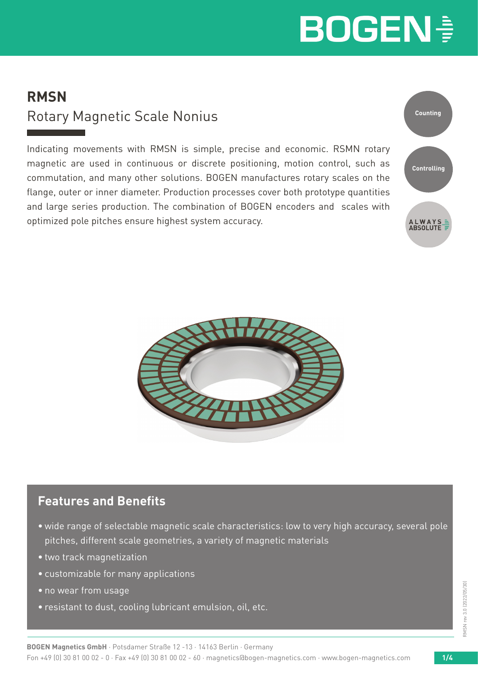### **RMSN** Rotary Magnetic Scale Nonius

Indicating movements with RMSN is simple, precise and economic. RSMN rotary magnetic are used in continuous or discrete positioning, motion control, such as commutation, and many other solutions. BOGEN manufactures rotary scales on the flange, outer or inner diameter. Production processes cover both prototype quantities and large series production. The combination of BOGEN encoders and scales with optimized pole pitches ensure highest system accuracy.





### **Features and Benefits**

- wide range of selectable magnetic scale characteristics: low to very high accuracy, several pole pitches, different scale geometries, a variety of magnetic materials
- two track magnetization
- customizable for many applications
- no wear from usage
- resistant to dust, cooling lubricant emulsion, oil, etc.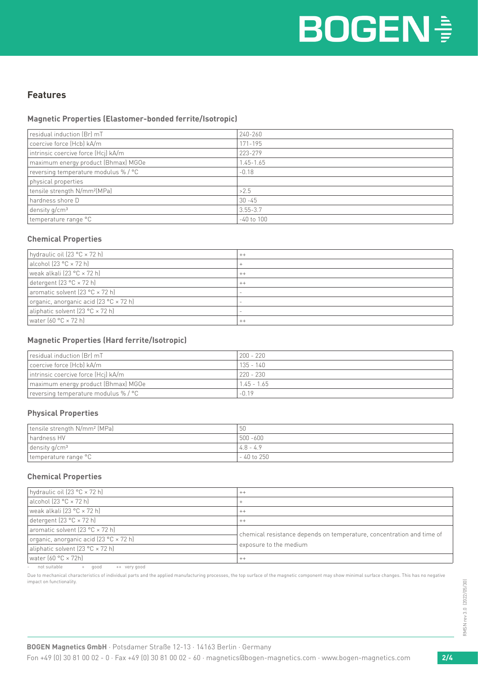#### **Features**

#### **Magnetic Properties (Elastomer-bonded ferrite/Isotropic)**

| residual induction (Br) mT               | 240-260        |
|------------------------------------------|----------------|
| coercive force (Hcb) kA/m                | 171-195        |
| intrinsic coercive force (Hcj) kA/m      | 223-279        |
| maximum energy product (Bhmax) MGOe      | $1.45 - 1.65$  |
| reversing temperature modulus %/ °C      | $-0.18$        |
| physical properties                      |                |
| tensile strength N/mm <sup>2</sup> (MPa) | >2.5           |
| hardness shore D                         | $30 - 45$      |
| density $q/cm^3$                         | $3.55 - 3.7$   |
| temperature range °C                     | $-40$ to $100$ |
|                                          |                |

#### **Chemical Properties**

| $^{++}$                  |
|--------------------------|
| $\pm$                    |
| $++$                     |
| $++$                     |
| $\overline{\phantom{a}}$ |
| $\overline{\phantom{a}}$ |
| $\overline{\phantom{0}}$ |
| $++$                     |
|                          |

#### **Magnetic Properties (Hard ferrite/Isotropic)**

| residual induction (Br) mT           | $200 - 220$   |
|--------------------------------------|---------------|
| coercive force (Hcb) kA/m            | $135 - 140$   |
| intrinsic coercive force (Hcj) kA/m  | $220 - 230$   |
| maximum energy product (Bhmax) MGOe  | $1.45 - 1.65$ |
| reversing temperature modulus % / °C | $-0.19$       |

#### **Physical Properties**

| tensile strength N/mm <sup>2</sup> (MPa) | 5U           |
|------------------------------------------|--------------|
| hardness HV                              | 500 -600     |
| $\vert$ density g/cm <sup>3</sup>        | $14.8 - 4.9$ |
| temperature range °C                     | - 40 to 250  |

#### **Chemical Properties**

| hydraulic oil (23 °C × 72 h)           | $++$                                                                  |  |  |  |
|----------------------------------------|-----------------------------------------------------------------------|--|--|--|
| $alechol$ (23 °C $\times$ 72 h)        |                                                                       |  |  |  |
| weak alkali (23 °C × 72 h)             | $++$                                                                  |  |  |  |
| detergent (23 °C × 72 h)               | $++$                                                                  |  |  |  |
| aromatic solvent (23 °C × 72 h)        | chemical resistance depends on temperature, concentration and time of |  |  |  |
| organic, anorganic acid (23 °C × 72 h) |                                                                       |  |  |  |
| aliphatic solvent (23 °C × 72 h)       | exposure to the medium                                                |  |  |  |
| l water (60 °C × 72h)                  | $^{++}$                                                               |  |  |  |

not suitable  $\begin{array}{ccc} & + & \text{good} & + & \text{very good} \end{array}$ 

Due to mechanical characteristics of individual parts and the applied manufacturing processes, the top surface of the magnetic component may show minimal surface changes. This has no negative impact on functionality.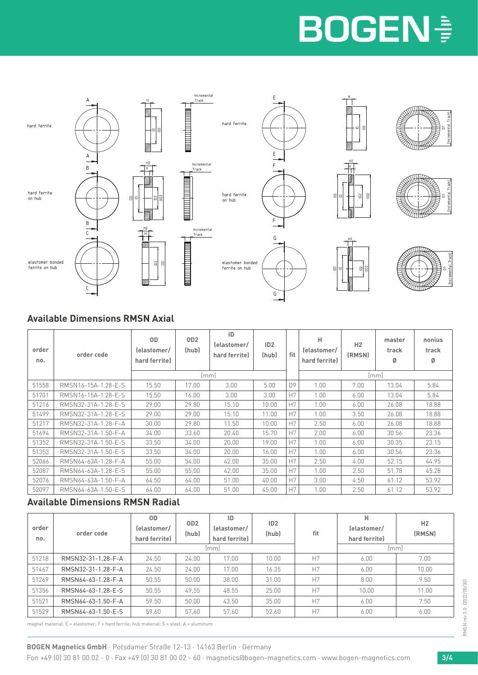

### **Available Dimensions RMSN Axial**

| order<br>no. | order code          | 0D<br>lelastomer/<br>hard ferrite) | OD <sub>2</sub><br>(hub)<br>lmml | ID<br>lelastomer/<br>hard ferrite) | ID2<br>(hub) | fit | н<br>lelastomer/<br>hard ferrite) | H <sub>2</sub><br>(RMSN) | master<br>track<br>Ø<br>[mm] | nonius<br>track<br>Ø |
|--------------|---------------------|------------------------------------|----------------------------------|------------------------------------|--------------|-----|-----------------------------------|--------------------------|------------------------------|----------------------|
| 51558        | RMSN16-15A-1.28-E-S | 15.50                              | 17.00                            | 3.00                               | 5.00         | D9  | 1.00                              | 7.00                     | 13.04                        | 5.84                 |
| 51701        | RMSN16-15A-1.28-F-S | 15.50                              | 16.00                            | 3.00                               | 3.00         | H7  | 1.00.                             | 6.00                     | 13.04                        | 5.84                 |
| 51216        | RMSN32-31A-1.28-E-S | 29.00                              | 29.80                            | 15.10                              | 10.00        | H7  | 1.00                              | 6.00                     | 26.08                        | 18.88                |
| 51499        | RMSN32-31A-1.28-E-S | 29.00                              | 29.00                            | 15.10                              | 11.00        | H7  | 1.00                              | 3.50                     | 26.08                        | 18.88                |
| 51217        | RMSN32-31A-1.28-F-A | 30.00                              | 29.80                            | 11.50                              | 10.00        | H7  | 2.50                              | 6.00                     | 26.08                        | 18.88                |
| 51694        | RMSN32-31A-1.50-F-A | 34.00                              | 33.60                            | 20.40                              | 15.70        | H7  | 2.00                              | 6.00                     | 30.56                        | 23.36                |
| 51352        | RMSN32-31A-1.50-E-S | 33.50                              | 34.00                            | 20.00                              | 19.00        | H7  | 1.00                              | 6.00                     | 30.35                        | 23.15                |
| 51353        | RMSN32-31A-1.50-E-S | 33.50                              | 34.00                            | 20.00                              | 16.00        | H7  | 1.00                              | 6.00                     | 30.56                        | 23.36                |
| 52066        | RMSN64-63A-1.28-F-A | 55.00                              | 54.00                            | 42.00                              | 35.00        | H7  | 2.50                              | 4.00                     | 52.15                        | 44.95                |
| 52087        | RMSN64-63A-1.28-F-S | 55.00                              | 55.00                            | 42.00                              | 35.00        | H7  | 1.00                              | 2.50                     | 51.78                        | 45.28                |
| 52076        | RMSN64-63A-1.50-F-A | 64.50                              | 64.00                            | 51.00                              | 40.00        | H7  | 3.00                              | 4.50                     | 61.12                        | 53.92                |
| 52097        | RMSN64-63A-1.50-F-S | 64.00                              | 64.00                            | 51.00                              | 45.00        | H7  | 1.00                              | 2.50                     | 61.12                        | 53.92                |

#### **Available Dimensions RMSN Radial**

| order<br>no. | order code         | 0D<br>lelastomer/<br>hard ferrite) | OD2<br>(hub) | ID<br>lelastomer/<br>hard ferrite) | ID2<br>(hub) | н<br>lelastomer/<br>fit<br>hard ferrite) |       | H2<br>(RMSN) |
|--------------|--------------------|------------------------------------|--------------|------------------------------------|--------------|------------------------------------------|-------|--------------|
|              | [mm]               |                                    |              |                                    |              |                                          | [mm]  |              |
| 51218        | RMSN32-31-1.28-F-A | 24.50                              | 24.00        | 17.00                              | 10.00        | H7                                       | 6.00  | 7.00         |
| 51467        | RMSN32-31-1.28-F-A | 24.50                              | 24.00        | 17.00                              | 16.35        | H7                                       | 6.00  | 10.00        |
| 51269        | RMSN64-63-1.28-F-A | 50.55                              | 50.00        | 38.00                              | 31.00        | H7                                       | 8.00  | 9.50         |
| 51356        | RMSN64-63-1.28-E-S | 50.55                              | 49.55        | 48.55                              | 25.00        | H7                                       | 10.00 | 11.00        |
| 51521        | RMSN64-63-1.50-F-A | 59.50                              | 50.00        | 43.50                              | 35.00        | H7                                       | 6.00  | 7.50         |
| 51529        | RMSN64-63-1.50-E-S | 59.60                              | 57,60        | 57.60                              | 52.60        | H7                                       | 6.00  | 6.00         |

magnet material: E = elastomer; F = hard ferrite; hub material: S = steel; A = aluminum

**BOGEN Magnetics GmbH** · Potsdamer Straße 12-13 · 14163 Berlin · Germany Fon +49 (0) 30 81 00 02 - 0 · Fax +49 (0) 30 81 00 02 - 60 · magnetics@bogen-magnetics.com · www.bogen-magnetics.com